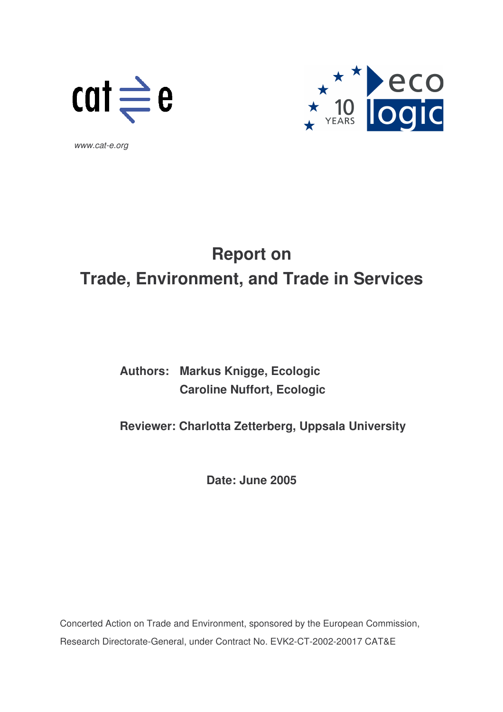



*www.cat-e.org*

# **Report on Trade, Environment, and Trade in Services**

# **Authors: Markus Knigge, Ecologic Caroline Nuffort, Ecologic**

## **Reviewer: Charlotta Zetterberg, Uppsala University**

**Date: June 2005**

Concerted Action on Trade and Environment, sponsored by the European Commission, Research Directorate-General, under Contract No. EVK2-CT-2002-20017 CAT&E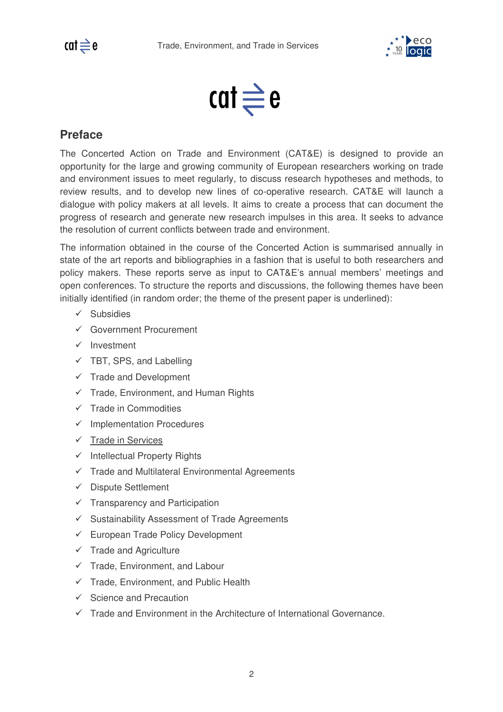

$$
\mathsf{cat} \rightleftharpoons \mathsf{e}
$$

### **Preface**

The Concerted Action on Trade and Environment (CAT&E) is designed to provide an opportunity for the large and growing community of European researchers working on trade and environment issues to meet regularly, to discuss research hypotheses and methods, to review results, and to develop new lines of co-operative research. CAT&E will launch a dialogue with policy makers at all levels. It aims to create a process that can document the progress of research and generate new research impulses in this area. It seeks to advance the resolution of current conflicts between trade and environment.

The information obtained in the course of the Concerted Action is summarised annually in state of the art reports and bibliographies in a fashion that is useful to both researchers and policy makers. These reports serve as input to CAT&E's annual members' meetings and open conferences. To structure the reports and discussions, the following themes have been initially identified (in random order; the theme of the present paper is underlined):

- $\checkmark$  Subsidies
- Government Procurement
- $\checkmark$  Investment
- $\checkmark$  TBT, SPS, and Labelling
- $\checkmark$  Trade and Development
- $\checkmark$  Trade, Environment, and Human Rights
- $\checkmark$  Trade in Commodities
- $\checkmark$  Implementation Procedures
- $\checkmark$  Trade in Services
- $\checkmark$  Intellectual Property Rights
- $\checkmark$  Trade and Multilateral Environmental Agreements
- $\checkmark$  Dispute Settlement
- $\checkmark$  Transparency and Participation
- $\checkmark$  Sustainability Assessment of Trade Agreements
- $\checkmark$  European Trade Policy Development
- $\checkmark$  Trade and Agriculture
- $\checkmark$  Trade, Environment, and Labour
- $\checkmark$  Trade, Environment, and Public Health
- $\checkmark$  Science and Precaution
- $\checkmark$  Trade and Environment in the Architecture of International Governance.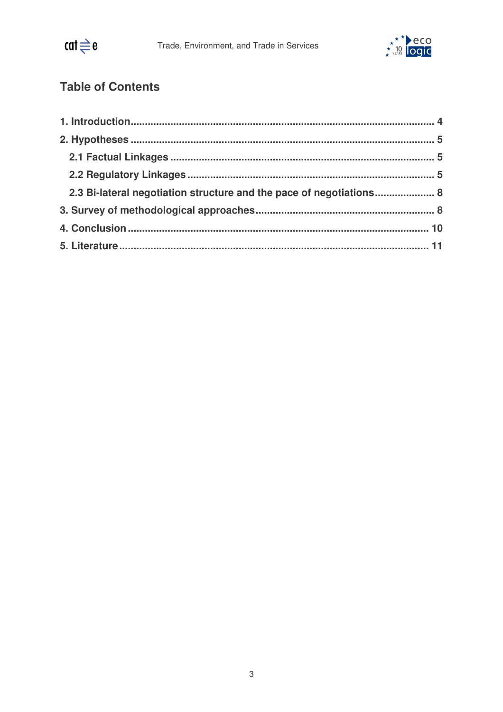

# **Table of Contents**

| 2.3 Bi-lateral negotiation structure and the pace of negotiations 8 |  |
|---------------------------------------------------------------------|--|
|                                                                     |  |
|                                                                     |  |
|                                                                     |  |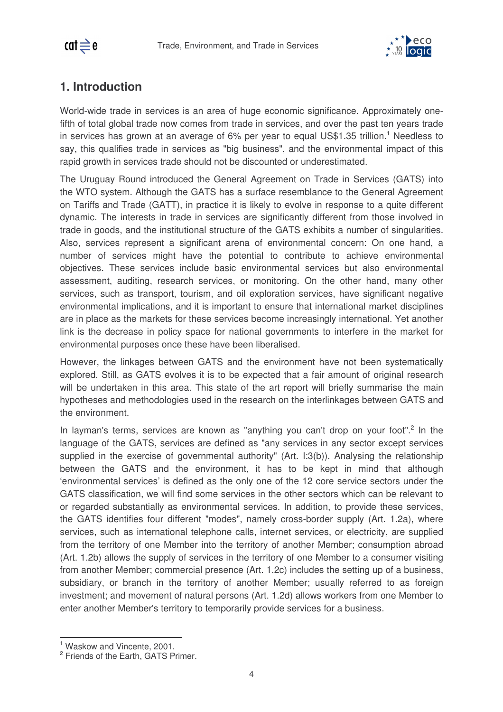

### **1. Introduction**

World-wide trade in services is an area of huge economic significance. Approximately onefifth of total global trade now comes from trade in services, and over the past ten years trade in services has grown at an average of 6% per year to equal US\$1.35 trillion.<sup>1</sup> Needless to say, this qualifies trade in services as "big business", and the environmental impact of this rapid growth in services trade should not be discounted or underestimated.

The Uruguay Round introduced the General Agreement on Trade in Services (GATS) into the WTO system. Although the GATS has a surface resemblance to the General Agreement on Tariffs and Trade (GATT), in practice it is likely to evolve in response to a quite different dynamic. The interests in trade in services are significantly different from those involved in trade in goods, and the institutional structure of the GATS exhibits a number of singularities. Also, services represent a significant arena of environmental concern: On one hand, a number of services might have the potential to contribute to achieve environmental objectives. These services include basic environmental services but also environmental assessment, auditing, research services, or monitoring. On the other hand, many other services, such as transport, tourism, and oil exploration services, have significant negative environmental implications, and it is important to ensure that international market disciplines are in place as the markets for these services become increasingly international. Yet another link is the decrease in policy space for national governments to interfere in the market for environmental purposes once these have been liberalised.

However, the linkages between GATS and the environment have not been systematically explored. Still, as GATS evolves it is to be expected that a fair amount of original research will be undertaken in this area. This state of the art report will briefly summarise the main hypotheses and methodologies used in the research on the interlinkages between GATS and the environment.

In layman's terms, services are known as "anything you can't drop on your foot".<sup>2</sup> In the language of the GATS, services are defined as "any services in any sector except services supplied in the exercise of governmental authority" (Art. I:3(b)). Analysing the relationship between the GATS and the environment, it has to be kept in mind that although 'environmental services' is defined as the only one of the 12 core service sectors under the GATS classification, we will find some services in the other sectors which can be relevant to or regarded substantially as environmental services. In addition, to provide these services, the GATS identifies four different "modes", namely cross-border supply (Art. 1.2a), where services, such as international telephone calls, internet services, or electricity, are supplied from the territory of one Member into the territory of another Member; consumption abroad (Art. 1.2b) allows the supply of services in the territory of one Member to a consumer visiting from another Member; commercial presence (Art. 1.2c) includes the setting up of a business, subsidiary, or branch in the territory of another Member; usually referred to as foreign investment; and movement of natural persons (Art. 1.2d) allows workers from one Member to enter another Member's territory to temporarily provide services for a business.

 $\overline{\phantom{a}}$ <sup>1</sup> Waskow and Vincente, 2001.

<sup>&</sup>lt;sup>2</sup> Friends of the Earth, GATS Primer.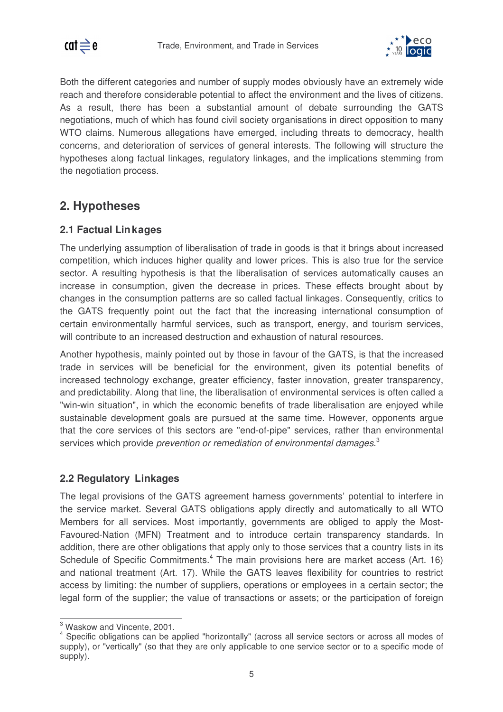

Both the different categories and number of supply modes obviously have an extremely wide reach and therefore considerable potential to affect the environment and the lives of citizens. As a result, there has been a substantial amount of debate surrounding the GATS negotiations, much of which has found civil society organisations in direct opposition to many WTO claims. Numerous allegations have emerged, including threats to democracy, health concerns, and deterioration of services of general interests. The following will structure the hypotheses along factual linkages, regulatory linkages, and the implications stemming from the negotiation process.

### **2. Hypotheses**

#### **2.1 Factual Linkages**

The underlying assumption of liberalisation of trade in goods is that it brings about increased competition, which induces higher quality and lower prices. This is also true for the service sector. A resulting hypothesis is that the liberalisation of services automatically causes an increase in consumption, given the decrease in prices. These effects brought about by changes in the consumption patterns are so called factual linkages. Consequently, critics to the GATS frequently point out the fact that the increasing international consumption of certain environmentally harmful services, such as transport, energy, and tourism services, will contribute to an increased destruction and exhaustion of natural resources.

Another hypothesis, mainly pointed out by those in favour of the GATS, is that the increased trade in services will be beneficial for the environment, given its potential benefits of increased technology exchange, greater efficiency, faster innovation, greater transparency, and predictability. Along that line, the liberalisation of environmental services is often called a "win-win situation", in which the economic benefits of trade liberalisation are enjoyed while sustainable development goals are pursued at the same time. However, opponents argue that the core services of this sectors are "end-of-pipe" services, rather than environmental services which provide *prevention or remediation of environmental damages*. 3

#### **2.2 Regulatory Linkages**

The legal provisions of the GATS agreement harness governments' potential to interfere in the service market. Several GATS obligations apply directly and automatically to all WTO Members for all services. Most importantly, governments are obliged to apply the Most-Favoured-Nation (MFN) Treatment and to introduce certain transparency standards. In addition, there are other obligations that apply only to those services that a country lists in its Schedule of Specific Commitments.<sup>4</sup> The main provisions here are market access (Art. 16) and national treatment (Art. 17). While the GATS leaves flexibility for countries to restrict access by limiting: the number of suppliers, operations or employees in a certain sector; the legal form of the supplier; the value of transactions or assets; or the participation of foreign

 $\overline{a}$  $3$  Waskow and Vincente, 2001.

<sup>4</sup> Specific obligations can be applied "horizontally" (across all service sectors or across all modes of supply), or "vertically" (so that they are only applicable to one service sector or to a specific mode of supply).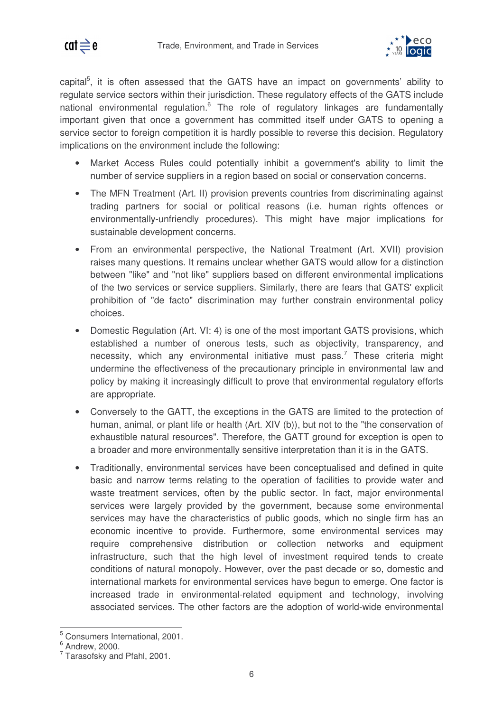

capital<sup>5</sup>, it is often assessed that the GATS have an impact on governments' ability to regulate service sectors within their jurisdiction. These regulatory effects of the GATS include national environmental regulation.<sup>6</sup> The role of regulatory linkages are fundamentally important given that once a government has committed itself under GATS to opening a service sector to foreign competition it is hardly possible to reverse this decision. Regulatory implications on the environment include the following:

- Market Access Rules could potentially inhibit a government's ability to limit the number of service suppliers in a region based on social or conservation concerns.
- The MFN Treatment (Art. II) provision prevents countries from discriminating against trading partners for social or political reasons (i.e. human rights offences or environmentally-unfriendly procedures). This might have major implications for sustainable development concerns.
- From an environmental perspective, the National Treatment (Art. XVII) provision raises many questions. It remains unclear whether GATS would allow for a distinction between "like" and "not like" suppliers based on different environmental implications of the two services or service suppliers. Similarly, there are fears that GATS'explicit prohibition of "de facto" discrimination may further constrain environmental policy choices.
- Domestic Regulation (Art. VI: 4) is one of the most important GATS provisions, which established a number of onerous tests, such as objectivity, transparency, and necessity, which any environmental initiative must pass.<sup>7</sup> These criteria might undermine the effectiveness of the precautionary principle in environmental law and policy by making it increasingly difficult to prove that environmental regulatory efforts are appropriate.
- Conversely to the GATT, the exceptions in the GATS are limited to the protection of human, animal, or plant life or health (Art. XIV (b)), but not to the "the conservation of exhaustible natural resources". Therefore, the GATT ground for exception is open to a broader and more environmentally sensitive interpretation than it is in the GATS.
- Traditionally, environmental services have been conceptualised and defined in quite basic and narrow terms relating to the operation of facilities to provide water and waste treatment services, often by the public sector. In fact, major environmental services were largely provided by the government, because some environmental services may have the characteristics of public goods, which no single firm has an economic incentive to provide. Furthermore, some environmental services may require comprehensive distribution or collection networks and equipment infrastructure, such that the high level of investment required tends to create conditions of natural monopoly. However, over the past decade or so, domestic and international markets for environmental services have begun to emerge. One factor is increased trade in environmental-related equipment and technology, involving associated services. The other factors are the adoption of world-wide environmental

 $\overline{a}$ <sup>5</sup> Consumers International, 2001.

<sup>6</sup> Andrew, 2000.

 $7$  Tarasofsky and Pfahl, 2001.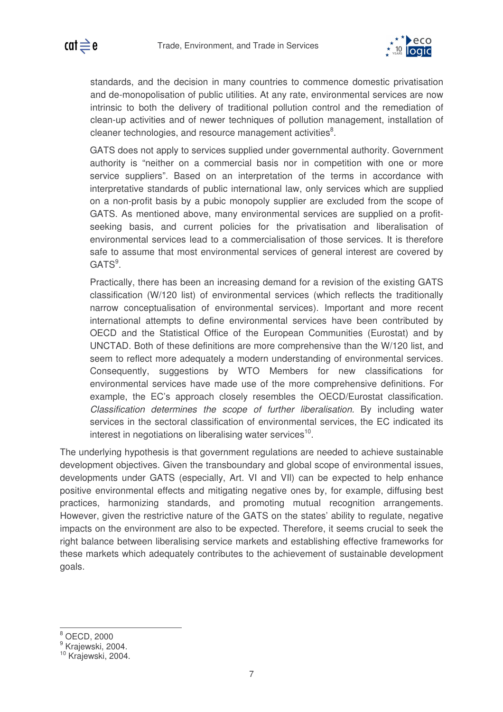

standards, and the decision in many countries to commence domestic privatisation and de-monopolisation of public utilities. At any rate, environmental services are now intrinsic to both the delivery of traditional pollution control and the remediation of clean-up activities and of newer techniques of pollution management, installation of cleaner technologies, and resource management activities<sup>8</sup>.

GATS does not apply to services supplied under governmental authority. Government authority is "neither on a commercial basis nor in competition with one or more service suppliers". Based on an interpretation of the terms in accordance with interpretative standards of public international law, only services which are supplied on a non-profit basis by a pubic monopoly supplier are excluded from the scope of GATS. As mentioned above, many environmental services are supplied on a profitseeking basis, and current policies for the privatisation and liberalisation of environmental services lead to a commercialisation of those services. It is therefore safe to assume that most environmental services of general interest are covered by GATS<sup>9</sup>.

Practically, there has been an increasing demand for a revision of the existing GATS classification (W/120 list) of environmental services (which reflects the traditionally narrow conceptualisation of environmental services). Important and more recent international attempts to define environmental services have been contributed by OECD and the Statistical Office of the European Communities (Eurostat) and by UNCTAD. Both of these definitions are more comprehensive than the W/120 list, and seem to reflect more adequately a modern understanding of environmental services. Consequently, suggestions by WTO Members for new classifications for environmental services have made use of the more comprehensive definitions. For example, the EC's approach closely resembles the OECD/Eurostat classification. *Classification determines the scope of further liberalisation.* By including water services in the sectoral classification of environmental services, the EC indicated its interest in negotiations on liberalising water services<sup>10</sup>.

The underlying hypothesis is that government regulations are needed to achieve sustainable development objectives. Given the transboundary and global scope of environmental issues, developments under GATS (especially, Art. VI and VIl) can be expected to help enhance positive environmental effects and mitigating negative ones by, for example, diffusing best practices, harmonizing standards, and promoting mutual recognition arrangements. However, given the restrictive nature of the GATS on the states' ability to regulate, negative impacts on the environment are also to be expected. Therefore, it seems crucial to seek the right balance between liberalising service markets and establishing effective frameworks for these markets which adequately contributes to the achievement of sustainable development goals.

 $\overline{a}$ 

 $<sup>8</sup>$  OECD, 2000</sup>

<sup>&</sup>lt;sup>9</sup> Krajewski, 2004.

<sup>10</sup> Krajewski, 2004.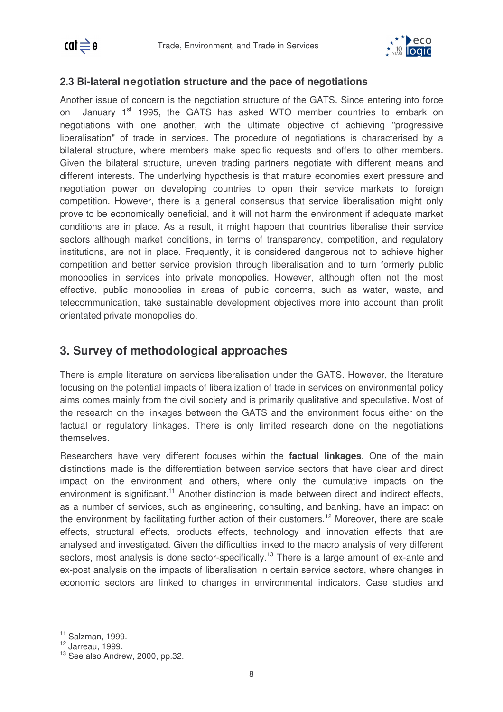

#### **2.3 Bi-lateral negotiation structure and the pace of negotiations**

Another issue of concern is the negotiation structure of the GATS. Since entering into force on January 1<sup>st</sup> 1995, the GATS has asked WTO member countries to embark on negotiations with one another, with the ultimate objective of achieving "progressive liberalisation" of trade in services. The procedure of negotiations is characterised by a bilateral structure, where members make specific requests and offers to other members. Given the bilateral structure, uneven trading partners negotiate with different means and different interests. The underlying hypothesis is that mature economies exert pressure and negotiation power on developing countries to open their service markets to foreign competition. However, there is a general consensus that service liberalisation might only prove to be economically beneficial, and it will not harm the environment if adequate market conditions are in place. As a result, it might happen that countries liberalise their service sectors although market conditions, in terms of transparency, competition, and regulatory institutions, are not in place. Frequently, it is considered dangerous not to achieve higher competition and better service provision through liberalisation and to turn formerly public monopolies in services into private monopolies. However, although often not the most effective, public monopolies in areas of public concerns, such as water, waste, and telecommunication, take sustainable development objectives more into account than profit orientated private monopolies do.

#### **3. Survey of methodological approaches**

There is ample literature on services liberalisation under the GATS. However, the literature focusing on the potential impacts of liberalization of trade in services on environmental policy aims comes mainly from the civil society and is primarily qualitative and speculative. Most of the research on the linkages between the GATS and the environment focus either on the factual or regulatory linkages. There is only limited research done on the negotiations themselves.

Researchers have very different focuses within the **factual linkages**. One of the main distinctions made is the differentiation between service sectors that have clear and direct impact on the environment and others, where only the cumulative impacts on the environment is significant.<sup>11</sup> Another distinction is made between direct and indirect effects, as a number of services, such as engineering, consulting, and banking, have an impact on the environment by facilitating further action of their customers.<sup>12</sup> Moreover, there are scale effects, structural effects, products effects, technology and innovation effects that are analysed and investigated. Given the difficulties linked to the macro analysis of very different sectors, most analysis is done sector-specifically.<sup>13</sup> There is a large amount of ex-ante and ex-post analysis on the impacts of liberalisation in certain service sectors, where changes in economic sectors are linked to changes in environmental indicators. Case studies and

 $\overline{\phantom{a}}$  $11$  Salzman, 1999.

 $12$  Jarreau, 1999.

<sup>&</sup>lt;sup>13</sup> See also Andrew, 2000, pp.32.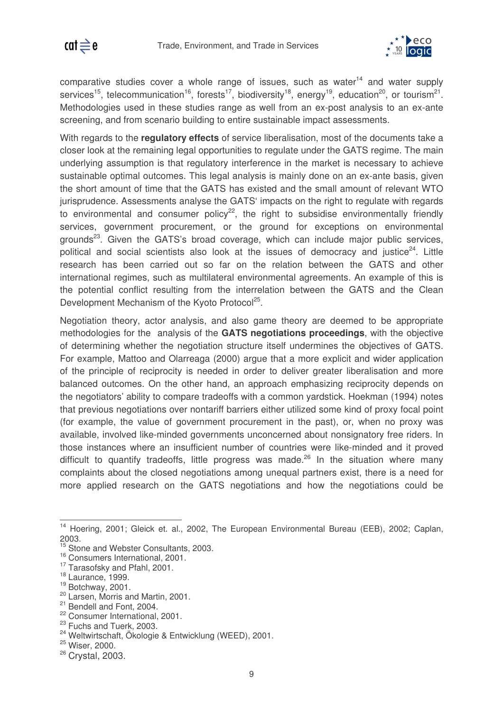

comparative studies cover a whole range of issues, such as water<sup>14</sup> and water supply services<sup>15</sup>, telecommunication<sup>16</sup>, forests<sup>17</sup>, biodiversity<sup>18</sup>, energy<sup>19</sup>, education<sup>20</sup>, or tourism<sup>21</sup>. Methodologies used in these studies range as well from an ex-post analysis to an ex-ante screening, and from scenario building to entire sustainable impact assessments.

With regards to the **regulatory effects** of service liberalisation, most of the documents take a closer look at the remaining legal opportunities to regulate under the GATS regime. The main underlying assumption is that regulatory interference in the market is necessary to achieve sustainable optimal outcomes. This legal analysis is mainly done on an ex-ante basis, given the short amount of time that the GATS has existed and the small amount of relevant WTO jurisprudence. Assessments analyse the GATS' impacts on the right to regulate with regards to environmental and consumer policy<sup>22</sup>, the right to subsidise environmentally friendly services, government procurement, or the ground for exceptions on environmental grounds<sup>23</sup>. Given the GATS's broad coverage, which can include major public services, political and social scientists also look at the issues of democracy and justice<sup>24</sup>. Little research has been carried out so far on the relation between the GATS and other international regimes, such as multilateral environmental agreements. An example of this is the potential conflict resulting from the interrelation between the GATS and the Clean Development Mechanism of the Kyoto Protocol<sup>25</sup>.

Negotiation theory, actor analysis, and also game theory are deemed to be appropriate methodologies for the analysis of the **GATS negotiations proceedings**, with the objective of determining whether the negotiation structure itself undermines the objectives of GATS. For example, Mattoo and Olarreaga (2000) argue that a more explicit and wider application of the principle of reciprocity is needed in order to deliver greater liberalisation and more balanced outcomes. On the other hand, an approach emphasizing reciprocity depends on the negotiators' ability to compare tradeoffs with a common yardstick. Hoekman (1994) notes that previous negotiations over nontariff barriers either utilized some kind of proxy focal point (for example, the value of government procurement in the past), or, when no proxy was available, involved like-minded governments unconcerned about nonsignatory free riders. In those instances where an insufficient number of countries were like-minded and it proved difficult to quantify tradeoffs, little progress was made.<sup>26</sup> In the situation where many complaints about the closed negotiations among unequal partners exist, there is a need for more applied research on the GATS negotiations and how the negotiations could be

 $\overline{\phantom{a}}$ 

<sup>&</sup>lt;sup>14</sup> Hoering, 2001; Gleick et. al., 2002, The European Environmental Bureau (EEB), 2002; Caplan, 2003.

<sup>&</sup>lt;sup>15</sup> Stone and Webster Consultants, 2003.

<sup>16</sup> Consumers International, 2001.

<sup>&</sup>lt;sup>17</sup> Tarasofsky and Pfahl, 2001.

<sup>18</sup> Laurance, 1999.

<sup>19</sup> Botchway, 2001.

<sup>&</sup>lt;sup>20</sup> Larsen, Morris and Martin, 2001.

<sup>&</sup>lt;sup>21</sup> Bendell and Font, 2004.

<sup>22</sup> Consumer International, 2001.

<sup>&</sup>lt;sup>23</sup> Fuchs and Tuerk, 2003.

<sup>&</sup>lt;sup>24</sup> Weltwirtschaft, Ökologie & Entwicklung (WEED), 2001.

<sup>25</sup> Wiser, 2000.

<sup>&</sup>lt;sup>26</sup> Crystal, 2003.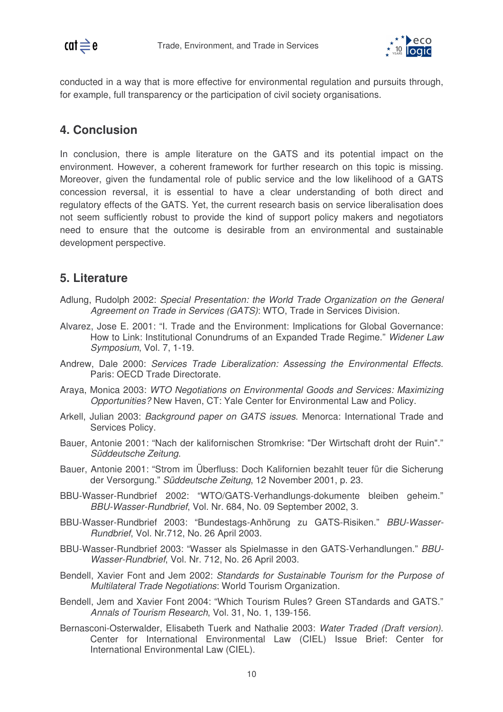

conducted in a way that is more effective for environmental regulation and pursuits through, for example, full transparency or the participation of civil society organisations.

#### **4. Conclusion**

In conclusion, there is ample literature on the GATS and its potential impact on the environment. However, a coherent framework for further research on this topic is missing. Moreover, given the fundamental role of public service and the low likelihood of a GATS concession reversal, it is essential to have a clear understanding of both direct and regulatory effects of the GATS. Yet, the current research basis on service liberalisation does not seem sufficiently robust to provide the kind of support policy makers and negotiators need to ensure that the outcome is desirable from an environmental and sustainable development perspective.

#### **5. Literature**

- Adlung, Rudolph 2002: *Special Presentation: the World Trade Organization on the General Agreement on Trade in Services (GATS)*: WTO, Trade in Services Division.
- Alvarez, Jose E. 2001: "I. Trade and the Environment: Implications for Global Governance: How to Link: Institutional Conundrums of an Expanded Trade Regime." *Widener Law Symposium*, Vol. 7, 1-19.
- Andrew, Dale 2000: *Services Trade Liberalization: Assessing the Environmental Effects*. Paris: OECD Trade Directorate.
- Araya, Monica 2003: *WTO Negotiations on Environmental Goods and Services: Maximizing Opportunities?* New Haven, CT: Yale Center for Environmental Law and Policy.
- Arkell, Julian 2003: *Background paper on GATS issues*. Menorca: International Trade and Services Policy.
- Bauer, Antonie 2001: "Nach der kalifornischen Stromkrise: "Der Wirtschaft droht der Ruin"." *Süddeutsche Zeitung*.
- Bauer, Antonie 2001: "Strom im Überfluss: Doch Kalifornien bezahlt teuer für die Sicherung der Versorgung." *Süddeutsche Zeitung*, 12 November 2001, p. 23.
- BBU-Wasser-Rundbrief 2002: "WTO/GATS-Verhandlungs-dokumente bleiben geheim." *BBU-Wasser-Rundbrief*, Vol. Nr. 684, No. 09 September 2002, 3.
- BBU-Wasser-Rundbrief 2003: "Bundestags-Anhörung zu GATS-Risiken." *BBU-Wasser-Rundbrief*, Vol. Nr.712, No. 26 April 2003.
- BBU-Wasser-Rundbrief 2003: "Wasser als Spielmasse in den GATS-Verhandlungen." *BBU-Wasser-Rundbrief*, Vol. Nr. 712, No. 26 April 2003.
- Bendell, Xavier Font and Jem 2002: *Standards for Sustainable Tourism for the Purpose of Multilateral Trade Negotiations*: World Tourism Organization.
- Bendell, Jem and Xavier Font 2004: "Which Tourism Rules? Green STandards and GATS." *Annals of Tourism Research*, Vol. 31, No. 1, 139-156.
- Bernasconi-Osterwalder, Elisabeth Tuerk and Nathalie 2003: *Water Traded (Draft version)*. Center for International Environmental Law (CIEL) Issue Brief: Center for International Environmental Law (CIEL).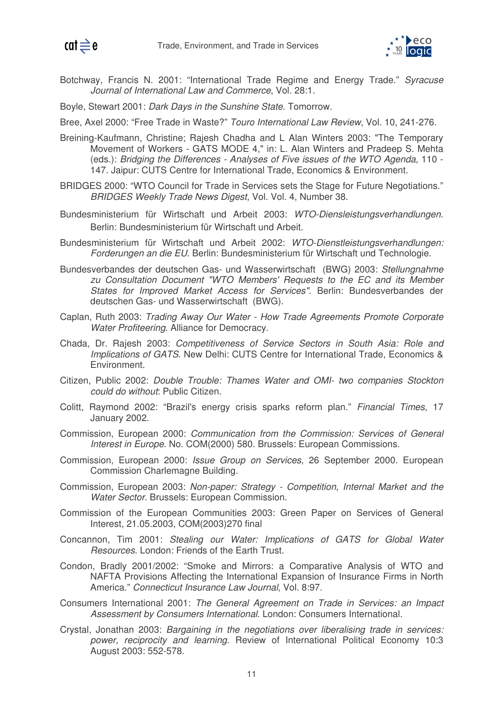



- Botchway, Francis N. 2001: "International Trade Regime and Energy Trade." *Syracuse Journal of International Law and Commerce*, Vol. 28:1.
- Boyle, Stewart 2001: *Dark Days in the Sunshine State*. Tomorrow.
- Bree, Axel 2000: "Free Trade in Waste?" *Touro International Law Review*, Vol. 10, 241-276.
- Breining-Kaufmann, Christine; Rajesh Chadha and L Alan Winters 2003: "The Temporary Movement of Workers - GATS MODE 4," in: L. Alan Winters and Pradeep S. Mehta (eds.): *Bridging the Differences - Analyses of Five issues of the WTO Agenda*, 110 - 147. Jaipur: CUTS Centre for International Trade, Economics & Environment.
- BRIDGES 2000: "WTO Council for Trade in Services sets the Stage for Future Negotiations." *BRIDGES Weekly Trade News Digest*, Vol. Vol. 4, Number 38.
- Bundesministerium für Wirtschaft und Arbeit 2003: *WTO-Diensleistungsverhandlungen*. Berlin: Bundesministerium für Wirtschaft und Arbeit.
- Bundesministerium für Wirtschaft und Arbeit 2002: *WTO-Dienstleistungsverhandlungen: Forderungen an die EU*. Berlin: Bundesministerium für Wirtschaft und Technologie.
- Bundesverbandes der deutschen Gas- und Wasserwirtschaft (BWG) 2003: *Stellungnahme zu Consultation Document "WTO Members' Requests to the EC and its Member States for Improved Market Access for Services"*. Berlin: Bundesverbandes der deutschen Gas- und Wasserwirtschaft (BWG).
- Caplan, Ruth 2003: *Trading Away Our Water - How Trade Agreements Promote Corporate Water Profiteering*. Alliance for Democracy.
- Chada, Dr. Rajesh 2003: *Competitiveness of Service Sectors in South Asia: Role and Implications of GATS*. New Delhi: CUTS Centre for International Trade, Economics & Environment.
- Citizen, Public 2002: *Double Trouble: Thames Water and OMI- two companies Stockton could do without*: Public Citizen.
- Colitt, Raymond 2002: "Brazil's energy crisis sparks reform plan." *Financial Times*, 17 January 2002.
- Commission, European 2000: *Communication from the Commission: Services of General Interest in Europe*. No. COM(2000) 580. Brussels: European Commissions.
- Commission, European 2000: *Issue Group on Services*, 26 September 2000. European Commission Charlemagne Building.
- Commission, European 2003: *Non-paper: Strategy - Competition, Internal Market and the Water Sector*. Brussels: European Commission.
- Commission of the European Communities 2003: Green Paper on Services of General Interest, 21.05.2003, COM(2003)270 final
- Concannon, Tim 2001: *Stealing our Water: Implications of GATS for Global Water Resources*. London: Friends of the Earth Trust.
- Condon, Bradly 2001/2002: "Smoke and Mirrors: a Comparative Analysis of WTO and NAFTA Provisions Affecting the International Expansion of Insurance Firms in North America." *Connecticut Insurance Law Journal*, Vol. 8:97.
- Consumers International 2001: *The General Agreement on Trade in Services: an Impact Assessment by Consumers International*. London: Consumers International.
- Crystal, Jonathan 2003: *Bargaining in the negotiations over liberalising trade in services: power, reciprocity and learning.* Review of International Political Economy 10:3 August 2003: 552-578.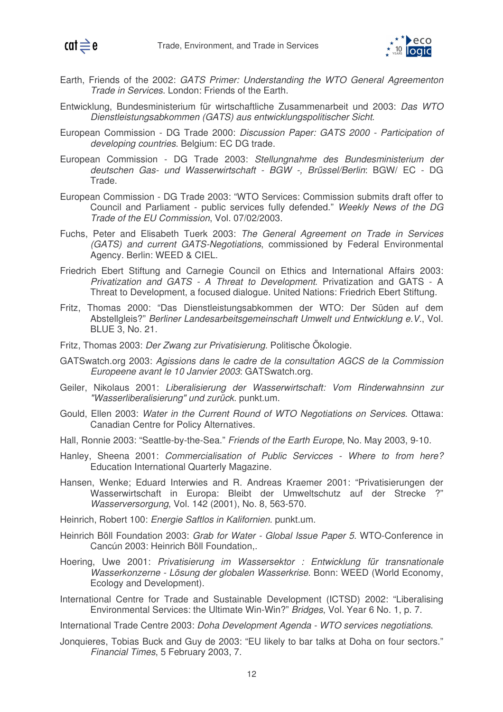



- Earth, Friends of the 2002: *GATS Primer: Understanding the WTO General Agreementon Trade in Services*. London: Friends of the Earth.
- Entwicklung, Bundesministerium für wirtschaftliche Zusammenarbeit und 2003: *Das WTO Dienstleistungsabkommen (GATS) aus entwicklungspolitischer Sicht*.
- European Commission DG Trade 2000: *Discussion Paper: GATS 2000 - Participation of developing countries*. Belgium: EC DG trade.
- European Commission DG Trade 2003: *Stellungnahme des Bundesministerium der deutschen Gas- und Wasserwirtschaft - BGW -, Brüssel/Berlin*: BGW/ EC - DG Trade.
- European Commission DG Trade 2003: "WTO Services: Commission submits draft offer to Council and Parliament - public services fully defended." *Weekly News of the DG Trade of the EU Commission*, Vol. 07/02/2003.
- Fuchs, Peter and Elisabeth Tuerk 2003: *The General Agreement on Trade in Services (GATS) and current GATS-Negotiations*, commissioned by Federal Environmental Agency. Berlin: WEED & CIEL.
- Friedrich Ebert Stiftung and Carnegie Council on Ethics and International Affairs 2003: *Privatization and GATS - A Threat to Development*. Privatization and GATS - A Threat to Development, a focused dialogue. United Nations: Friedrich Ebert Stiftung.
- Fritz, Thomas 2000: "Das Dienstleistungsabkommen der WTO: Der Süden auf dem Abstellgleis?" *Berliner Landesarbeitsgemeinschaft Umwelt und Entwicklung e.V.*, Vol. BLUE 3, No. 21.
- Fritz, Thomas 2003: *Der Zwang zur Privatisierung*. Politische Ökologie.
- GATSwatch.org 2003: *Agissions dans le cadre de la consultation AGCS de la Commission Europeene avant le 10 Janvier 2003*: GATSwatch.org.
- Geiler, Nikolaus 2001: *Liberalisierung der Wasserwirtschaft: Vom Rinderwahnsinn zur "Wasserliberalisierung" und zurück*. punkt.um.
- Gould, Ellen 2003: *Water in the Current Round of WTO Negotiations on Services*. Ottawa: Canadian Centre for Policy Alternatives.
- Hall, Ronnie 2003: "Seattle-by-the-Sea." *Friends of the Earth Europe*, No. May 2003, 9-10.
- Hanley, Sheena 2001: *Commercialisation of Public Servicces - Where to from here?* Education International Quarterly Magazine.
- Hansen, Wenke; Eduard Interwies and R. Andreas Kraemer 2001: "Privatisierungen der Wasserwirtschaft in Europa: Bleibt der Umweltschutz auf der Strecke ?" *Wasserversorgung*, Vol. 142 (2001), No. 8, 563-570.
- Heinrich, Robert 100: *Energie Saftlos in Kalifornien*. punkt.um.
- Heinrich Böll Foundation 2003: *Grab for Water - Global Issue Paper 5*. WTO-Conference in Cancún 2003: Heinrich Böll Foundation,.
- Hoering, Uwe 2001: *Privatisierung im Wassersektor : Entwicklung für transnationale Wasserkonzerne - Lösung der globalen Wasserkrise*. Bonn: WEED (World Economy, Ecology and Development).
- International Centre for Trade and Sustainable Development (ICTSD) 2002: "Liberalising Environmental Services: the Ultimate Win-Win?" *Bridges*, Vol. Year 6 No. 1, p. 7.
- International Trade Centre 2003: *Doha Development Agenda - WTO services negotiations*.
- Jonquieres, Tobias Buck and Guy de 2003: "EU likely to bar talks at Doha on four sectors." *Financial Times*, 5 February 2003, 7.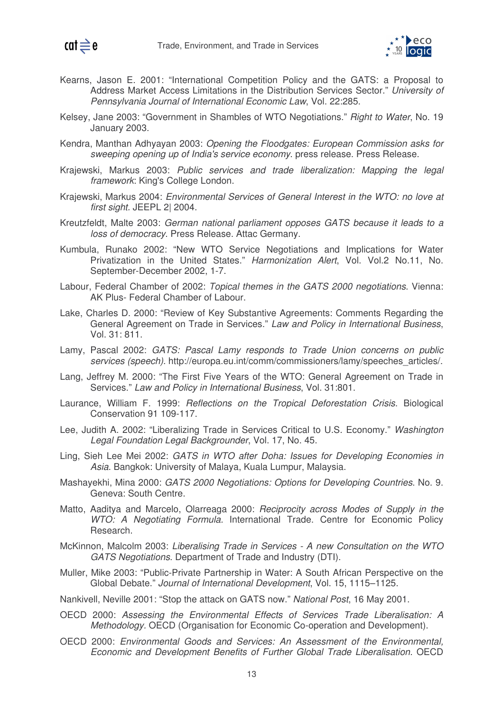



- Kearns, Jason E. 2001: "International Competition Policy and the GATS: a Proposal to Address Market Access Limitations in the Distribution Services Sector." *University of Pennsylvania Journal of International Economic Law*, Vol. 22:285.
- Kelsey, Jane 2003: "Government in Shambles of WTO Negotiations." *Right to Water*, No. 19 January 2003.
- Kendra, Manthan Adhyayan 2003: *Opening the Floodgates: European Commission asks for sweeping opening up of India's service economy*. press release. Press Release.
- Krajewski, Markus 2003: *Public services and trade liberalization: Mapping the legal framework*: King's College London.
- Krajewski, Markus 2004: *Environmental Services of General Interest in the WTO: no love at first sight.* JEEPL 2| 2004.
- Kreutzfeldt, Malte 2003: *German national parliament opposes GATS because it leads to a loss of democracy*. Press Release. Attac Germany.
- Kumbula, Runako 2002: "New WTO Service Negotiations and Implications for Water Privatization in the United States." *Harmonization Alert*, Vol. Vol.2 No.11, No. September-December 2002, 1-7.
- Labour, Federal Chamber of 2002: *Topical themes in the GATS 2000 negotiations*. Vienna: AK Plus- Federal Chamber of Labour.
- Lake, Charles D. 2000: "Review of Key Substantive Agreements: Comments Regarding the General Agreement on Trade in Services." *Law and Policy in International Business*, Vol. 31: 811.
- Lamy, Pascal 2002: *GATS: Pascal Lamy responds to Trade Union concerns on public services (speech)*. http://europa.eu.int/comm/commissioners/lamy/speeches\_articles/.
- Lang, Jeffrey M. 2000: "The First Five Years of the WTO: General Agreement on Trade in Services." *Law and Policy in International Business*, Vol. 31:801.
- Laurance, William F. 1999: *Reflections on the Tropical Deforestation Crisis*. Biological Conservation 91 109-117.
- Lee, Judith A. 2002: "Liberalizing Trade in Services Critical to U.S. Economy." *Washington Legal Foundation Legal Backgrounder*, Vol. 17, No. 45.
- Ling, Sieh Lee Mei 2002: *GATS in WTO after Doha: Issues for Developing Economies in Asia*. Bangkok: University of Malaya, Kuala Lumpur, Malaysia.
- Mashayekhi, Mina 2000: *GATS 2000 Negotiations: Options for Developing Countries*. No. 9. Geneva: South Centre.
- Matto, Aaditya and Marcelo, Olarreaga 2000: *Reciprocity across Modes of Supply in the WTO: A Negotiating Formula.* International Trade. Centre for Economic Policy Research.
- McKinnon, Malcolm 2003: *Liberalising Trade in Services - A new Consultation on the WTO GATS Negotiations*. Department of Trade and Industry (DTI).
- Muller, Mike 2003: "Public-Private Partnership in Water: A South African Perspective on the Global Debate." *Journal of International Development*, Vol. 15, 1115–1125.
- Nankivell, Neville 2001: "Stop the attack on GATS now." *National Post*, 16 May 2001.
- OECD 2000: *Assessing the Environmental Effects of Services Trade Liberalisation: A Methodology.* OECD (Organisation for Economic Co-operation and Development).
- OECD 2000: *Environmental Goods and Services: An Assessment of the Environmental, Economic and Development Benefits of Further Global Trade Liberalisation.* OECD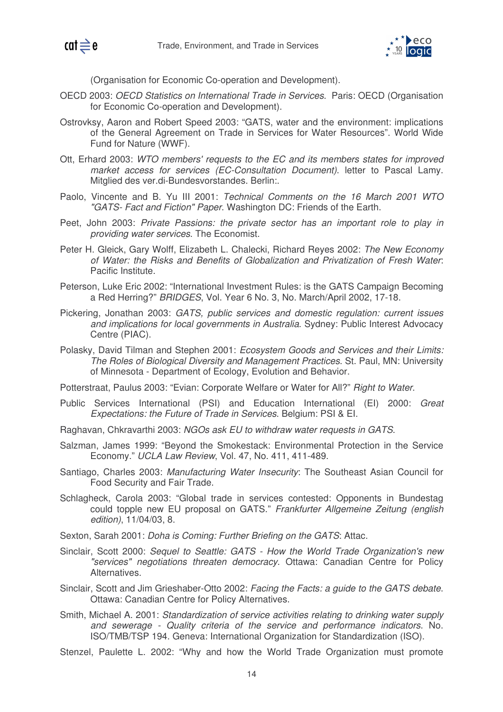

(Organisation for Economic Co-operation and Development).

- OECD 2003: *OECD Statistics on International Trade in Services*. Paris: OECD (Organisation for Economic Co-operation and Development).
- Ostrovksy, Aaron and Robert Speed 2003: "GATS, water and the environment: implications of the General Agreement on Trade in Services for Water Resources". World Wide Fund for Nature (WWF).
- Ott, Erhard 2003: *WTO members' requests to the EC and its members states for improved market access for services (EC-Consultation Document)*. letter to Pascal Lamy. Mitglied des ver.di-Bundesvorstandes. Berlin:.
- Paolo, Vincente and B. Yu III 2001: *Technical Comments on the 16 March 2001 WTO "GATS- Fact and Fiction" Paper*. Washington DC: Friends of the Earth.
- Peet, John 2003: *Private Passions: the private sector has an important role to play in providing water services*. The Economist.
- Peter H. Gleick, Gary Wolff, Elizabeth L. Chalecki, Richard Reyes 2002: *The New Economy of Water: the Risks and Benefits of Globalization and Privatization of Fresh Water*: Pacific Institute.
- Peterson, Luke Eric 2002: "International Investment Rules: is the GATS Campaign Becoming a Red Herring?" *BRIDGES*, Vol. Year 6 No. 3, No. March/April 2002, 17-18.
- Pickering, Jonathan 2003: *GATS, public services and domestic regulation: current issues and implications for local governments in Australia*. Sydney: Public Interest Advocacy Centre (PIAC).
- Polasky, David Tilman and Stephen 2001: *Ecosystem Goods and Services and their Limits: The Roles of Biological Diversity and Management Practices*. St. Paul, MN: University of Minnesota - Department of Ecology, Evolution and Behavior.

Potterstraat, Paulus 2003: "Evian: Corporate Welfare or Water for All?" *Right to Water*.

- Public Services International (PSI) and Education International (EI) 2000: *Great Expectations: the Future of Trade in Services*. Belgium: PSI & EI.
- Raghavan, Chkravarthi 2003: *NGOs ask EU to withdraw water requests in GATS*.
- Salzman, James 1999: "Beyond the Smokestack: Environmental Protection in the Service Economy." *UCLA Law Review*, Vol. 47, No. 411, 411-489.
- Santiago, Charles 2003: *Manufacturing Water Insecurity*: The Southeast Asian Council for Food Security and Fair Trade.
- Schlagheck, Carola 2003: "Global trade in services contested: Opponents in Bundestag could topple new EU proposal on GATS." *Frankfurter Allgemeine Zeitung (english edition)*, 11/04/03, 8.
- Sexton, Sarah 2001: *Doha is Coming: Further Briefing on the GATS*: Attac.
- Sinclair, Scott 2000: *Sequel to Seattle: GATS - How the World Trade Organization's new "services" negotiations threaten democracy*. Ottawa: Canadian Centre for Policy **Alternatives**
- Sinclair, Scott and Jim Grieshaber-Otto 2002: *Facing the Facts: a guide to the GATS debate*. Ottawa: Canadian Centre for Policy Alternatives.
- Smith, Michael A. 2001: *Standardization of service activities relating to drinking water supply and sewerage - Quality criteria of the service and performance indicators*. No. ISO/TMB/TSP 194. Geneva: International Organization for Standardization (ISO).
- Stenzel, Paulette L. 2002: "Why and how the World Trade Organization must promote